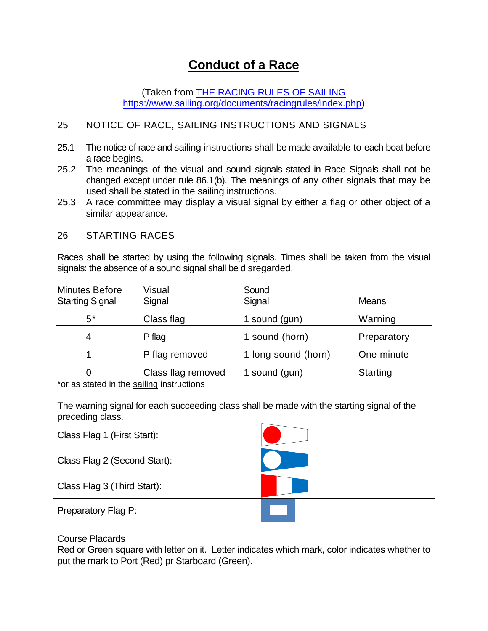# **Conduct of a Race**

(Taken from [THE RACING RULES OF SAILING](https://www.sailing.org/documents/racingrules/index.php) [https://www.sailing.org/documents/racingrules/index.php\)](https://www.sailing.org/documents/racingrules/index.php)

#### 25 NOTICE OF RACE, SAILING INSTRUCTIONS AND SIGNALS

- 25.1 The notice of race and sailing instructions shall be made available to each boat before a race begins.
- 25.2 The meanings of the visual and sound signals stated in Race Signals shall not be changed except under rule 86.1(b). The meanings of any other signals that may be used shall be stated in the sailing instructions.
- 25.3 A race committee may display a visual signal by either a flag or other object of a similar appearance.

#### 26 STARTING RACES

Races shall be started by using the following signals. Times shall be taken from the visual signals: the absence of a sound signal shall be disregarded.

| <b>Minutes Before</b><br><b>Starting Signal</b> | Visual<br>Signal   | Sound<br>Signal     | <b>Means</b>    |
|-------------------------------------------------|--------------------|---------------------|-----------------|
| 5*                                              | Class flag         | 1 sound (gun)       | Warning         |
| 4                                               | P flag             | 1 sound (horn)      | Preparatory     |
|                                                 | P flag removed     | 1 long sound (horn) | One-minute      |
| 0                                               | Class flag removed | 1 sound (gun)       | <b>Starting</b> |

\*or as stated in the sailing instructions

The warning signal for each succeeding class shall be made with the starting signal of the preceding class.

| Class Flag 1 (First Start):  |  |
|------------------------------|--|
| Class Flag 2 (Second Start): |  |
| Class Flag 3 (Third Start):  |  |
| Preparatory Flag P:          |  |

#### Course Placards

Red or Green square with letter on it. Letter indicates which mark, color indicates whether to put the mark to Port (Red) pr Starboard (Green).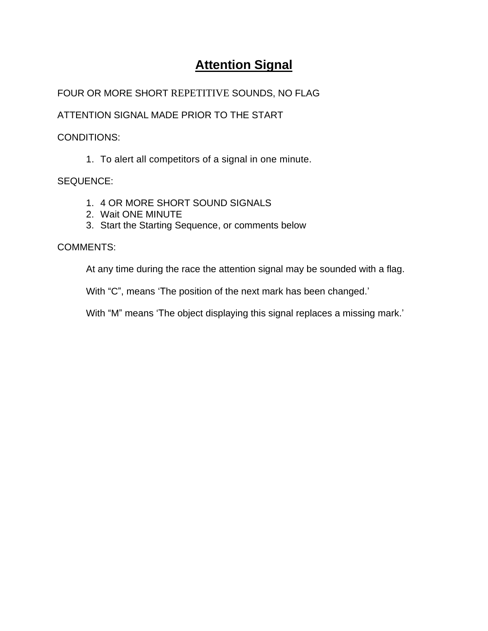# **Attention Signal**

# FOUR OR MORE SHORT REPETITIVE SOUNDS, NO FLAG

ATTENTION SIGNAL MADE PRIOR TO THE START

CONDITIONS:

1. To alert all competitors of a signal in one minute.

SEQUENCE:

- 1. 4 OR MORE SHORT SOUND SIGNALS
- 2. Wait ONE MINUTE
- 3. Start the Starting Sequence, or comments below

COMMENTS:

At any time during the race the attention signal may be sounded with a flag.

With "C", means 'The position of the next mark has been changed.'

With "M" means 'The object displaying this signal replaces a missing mark.'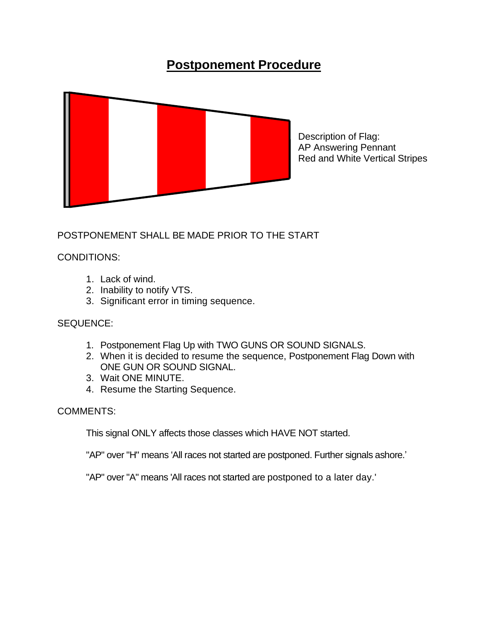# **Postponement Procedure**



POSTPONEMENT SHALL BE MADE PRIOR TO THE START

### CONDITIONS:

- 1. Lack of wind.
- 2. Inability to notify VTS.
- 3. Significant error in timing sequence.

#### SEQUENCE:

- 1. Postponement Flag Up with TWO GUNS OR SOUND SIGNALS.
- 2. When it is decided to resume the sequence, Postponement Flag Down with ONE GUN OR SOUND SIGNAL.
- 3. Wait ONE MINUTE.
- 4. Resume the Starting Sequence.

#### COMMENTS:

This signal ONLY affects those classes which HAVE NOT started.

"AP" over "H" means 'All races not started are postponed. Further signals ashore.'

"AP" over "A" means 'All races not started are postponed to a later day.'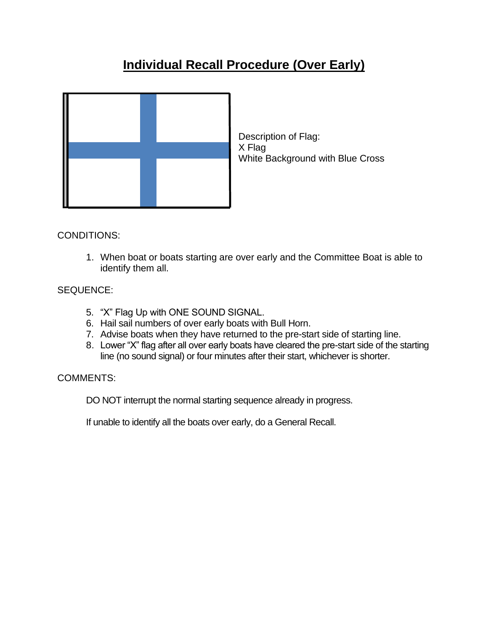# **Individual Recall Procedure (Over Early)**



Description of Flag: X Flag White Background with Blue Cross

CONDITIONS:

1. When boat or boats starting are over early and the Committee Boat is able to identify them all.

## SEQUENCE:

- 5. "X" Flag Up with ONE SOUND SIGNAL.
- 6. Hail sail numbers of over early boats with Bull Horn.
- 7. Advise boats when they have returned to the pre-start side of starting line.
- 8. Lower "X" flag after all over early boats have cleared the pre-start side of the starting line (no sound signal) or four minutes after their start, whichever is shorter.

### COMMENTS:

DO NOT interrupt the normal starting sequence already in progress.

If unable to identify all the boats over early, do a General Recall.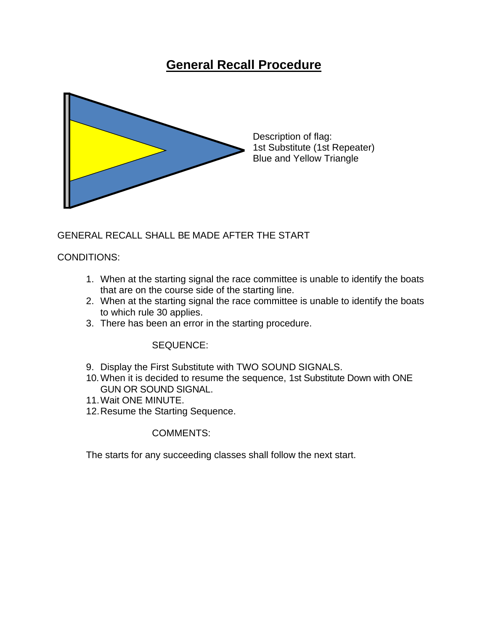# **General Recall Procedure**



Description of flag: 1st Substitute (1st Repeater) Blue and Yellow Triangle

## GENERAL RECALL SHALL BE MADE AFTER THE START

#### CONDITIONS:

- 1. When at the starting signal the race committee is unable to identify the boats that are on the course side of the starting line.
- 2. When at the starting signal the race committee is unable to identify the boats to which rule 30 applies.
- 3. There has been an error in the starting procedure.

#### SEQUENCE:

- 9. Display the First Substitute with TWO SOUND SIGNALS.
- 10.When it is decided to resume the sequence, 1st Substitute Down with ONE GUN OR SOUND SIGNAL.
- 11.Wait ONE MINUTE.
- 12.Resume the Starting Sequence.

#### COMMENTS:

The starts for any succeeding classes shall follow the next start.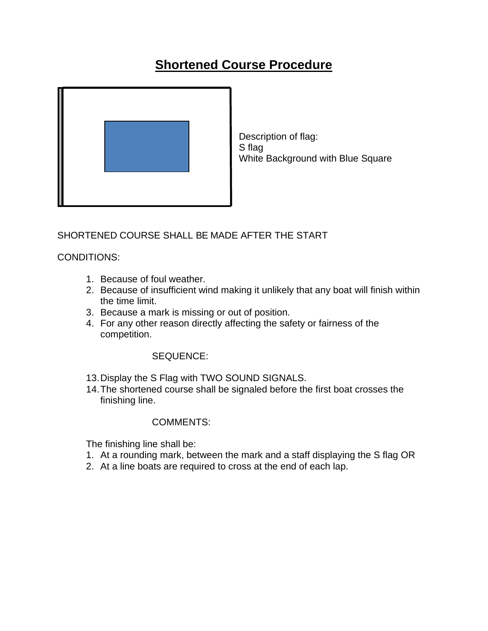# **Shortened Course Procedure**



Description of flag: S flag White Background with Blue Square

## SHORTENED COURSE SHALL BE MADE AFTER THE START

### CONDITIONS:

- 1. Because of foul weather.
- 2. Because of insufficient wind making it unlikely that any boat will finish within the time limit.
- 3. Because a mark is missing or out of position.
- 4. For any other reason directly affecting the safety or fairness of the competition.

### SEQUENCE:

- 13.Display the S Flag with TWO SOUND SIGNALS.
- 14.The shortened course shall be signaled before the first boat crosses the finishing line.

#### COMMENTS:

The finishing line shall be:

- 1. At a rounding mark, between the mark and a staff displaying the S flag OR
- 2. At a line boats are required to cross at the end of each lap.